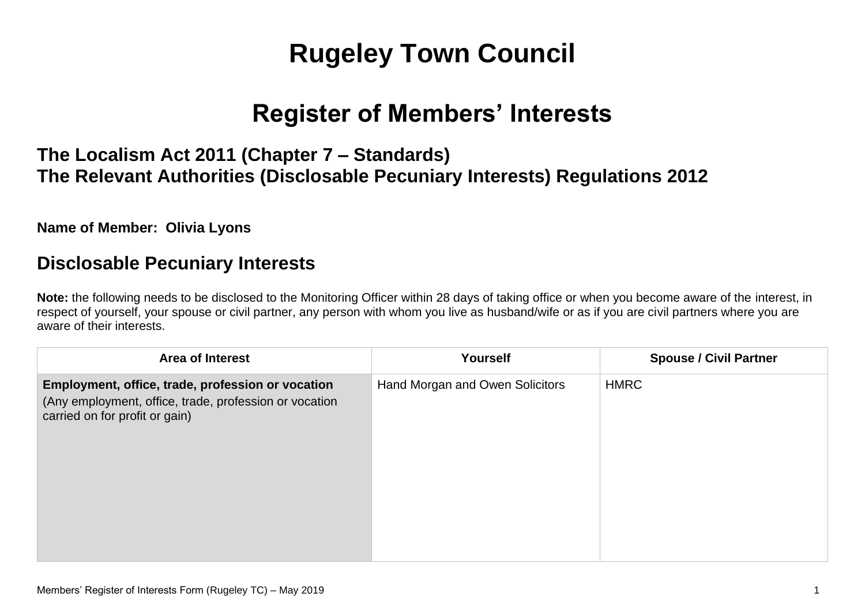# **Rugeley Town Council**

# **Register of Members' Interests**

### **The Localism Act 2011 (Chapter 7 – Standards) The Relevant Authorities (Disclosable Pecuniary Interests) Regulations 2012**

**Name of Member: Olivia Lyons**

#### **Disclosable Pecuniary Interests**

**Note:** the following needs to be disclosed to the Monitoring Officer within 28 days of taking office or when you become aware of the interest, in respect of yourself, your spouse or civil partner, any person with whom you live as husband/wife or as if you are civil partners where you are aware of their interests.

| <b>Area of Interest</b>                                                                                                                       | Yourself                        | <b>Spouse / Civil Partner</b> |
|-----------------------------------------------------------------------------------------------------------------------------------------------|---------------------------------|-------------------------------|
| Employment, office, trade, profession or vocation<br>(Any employment, office, trade, profession or vocation<br>carried on for profit or gain) | Hand Morgan and Owen Solicitors | <b>HMRC</b>                   |
|                                                                                                                                               |                                 |                               |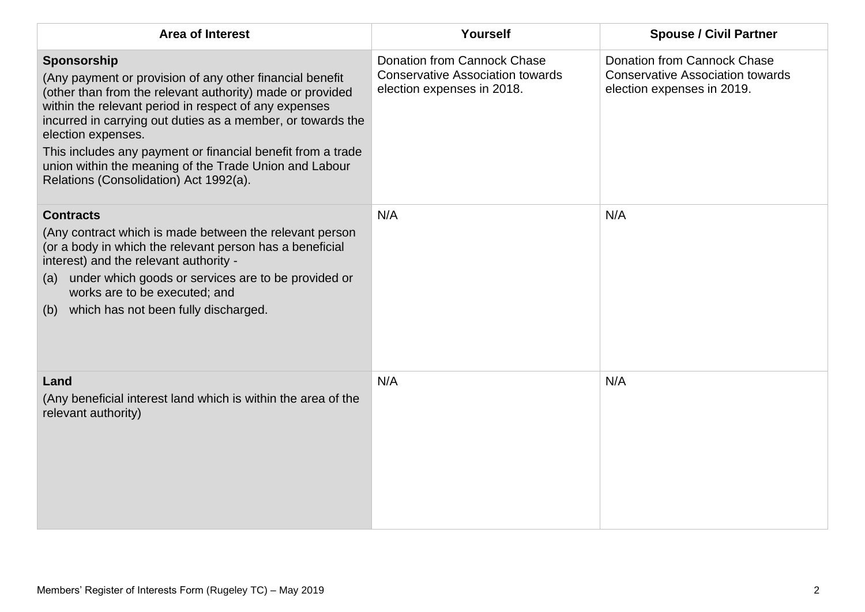| <b>Area of Interest</b>                                                                                                                                                                                                                                                                                                                                                                                                                               | Yourself                                                                                                    | <b>Spouse / Civil Partner</b>                                                                               |
|-------------------------------------------------------------------------------------------------------------------------------------------------------------------------------------------------------------------------------------------------------------------------------------------------------------------------------------------------------------------------------------------------------------------------------------------------------|-------------------------------------------------------------------------------------------------------------|-------------------------------------------------------------------------------------------------------------|
| Sponsorship<br>(Any payment or provision of any other financial benefit<br>(other than from the relevant authority) made or provided<br>within the relevant period in respect of any expenses<br>incurred in carrying out duties as a member, or towards the<br>election expenses.<br>This includes any payment or financial benefit from a trade<br>union within the meaning of the Trade Union and Labour<br>Relations (Consolidation) Act 1992(a). | <b>Donation from Cannock Chase</b><br><b>Conservative Association towards</b><br>election expenses in 2018. | <b>Donation from Cannock Chase</b><br><b>Conservative Association towards</b><br>election expenses in 2019. |
| <b>Contracts</b><br>(Any contract which is made between the relevant person<br>(or a body in which the relevant person has a beneficial<br>interest) and the relevant authority -<br>under which goods or services are to be provided or<br>(a)<br>works are to be executed; and<br>which has not been fully discharged.<br>(b)                                                                                                                       | N/A                                                                                                         | N/A                                                                                                         |
| Land<br>(Any beneficial interest land which is within the area of the<br>relevant authority)                                                                                                                                                                                                                                                                                                                                                          | N/A                                                                                                         | N/A                                                                                                         |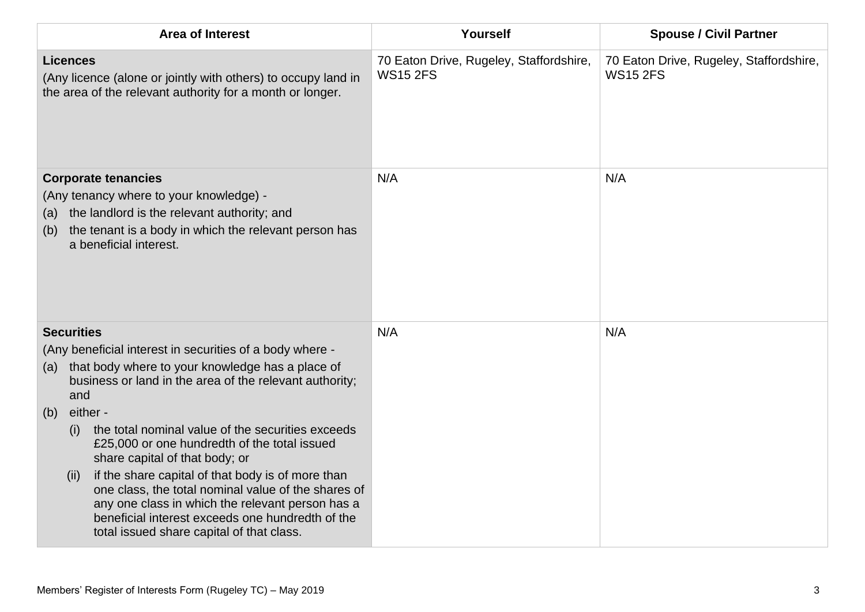| <b>Area of Interest</b>                                                                                                                                                                                                                                                                                                                                                                                                                                                                                                                                                                                                                              | Yourself                                                   | <b>Spouse / Civil Partner</b>                              |
|------------------------------------------------------------------------------------------------------------------------------------------------------------------------------------------------------------------------------------------------------------------------------------------------------------------------------------------------------------------------------------------------------------------------------------------------------------------------------------------------------------------------------------------------------------------------------------------------------------------------------------------------------|------------------------------------------------------------|------------------------------------------------------------|
| <b>Licences</b><br>(Any licence (alone or jointly with others) to occupy land in<br>the area of the relevant authority for a month or longer.                                                                                                                                                                                                                                                                                                                                                                                                                                                                                                        | 70 Eaton Drive, Rugeley, Staffordshire,<br><b>WS15 2FS</b> | 70 Eaton Drive, Rugeley, Staffordshire,<br><b>WS15 2FS</b> |
| <b>Corporate tenancies</b><br>(Any tenancy where to your knowledge) -<br>the landlord is the relevant authority; and<br>(a)<br>the tenant is a body in which the relevant person has<br>(b)<br>a beneficial interest.                                                                                                                                                                                                                                                                                                                                                                                                                                | N/A                                                        | N/A                                                        |
| <b>Securities</b><br>(Any beneficial interest in securities of a body where -<br>that body where to your knowledge has a place of<br>(a)<br>business or land in the area of the relevant authority;<br>and<br>either -<br>(b)<br>the total nominal value of the securities exceeds<br>(i)<br>£25,000 or one hundredth of the total issued<br>share capital of that body; or<br>if the share capital of that body is of more than<br>(ii)<br>one class, the total nominal value of the shares of<br>any one class in which the relevant person has a<br>beneficial interest exceeds one hundredth of the<br>total issued share capital of that class. | N/A                                                        | N/A                                                        |